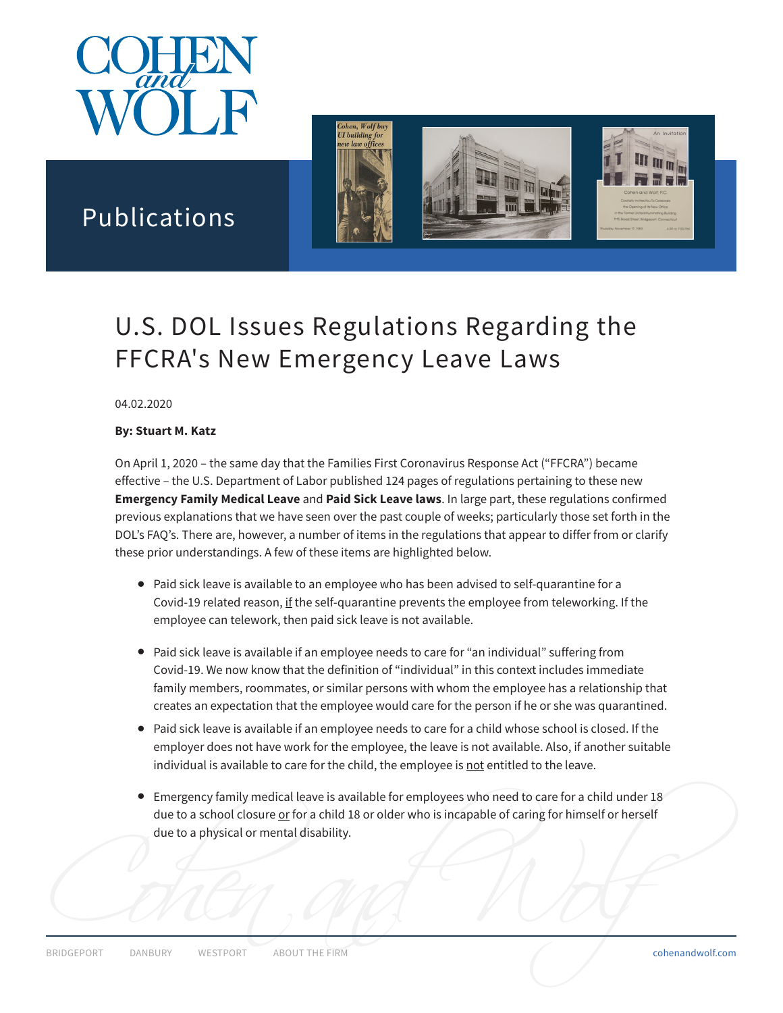



## Publications

# U.S. DOL Issues Regulations Regarding the FFCRA's New Emergency Leave Laws

04.02.2020

#### **By: Stuart M. Katz**

On April 1, 2020 – the same day that the Families First Coronavirus Response Act ("FFCRA") became effective – the U.S. Department of Labor published 124 pages of regulations pertaining to these new **Emergency Family Medical Leave** and **Paid Sick Leave laws**. In large part, these regulations confirmed previous explanations that we have seen over the past couple of weeks; particularly those set forth in the DOL's FAQ's. There are, however, a number of items in the regulations that appear to differ from or clarify these prior understandings. A few of these items are highlighted below.

- Paid sick leave is available to an employee who has been advised to self-quarantine for a Covid-19 related reason, if the self-quarantine prevents the employee from teleworking. If the employee can telework, then paid sick leave is not available.
- Paid sick leave is available if an employee needs to care for "an individual" suffering from Covid-19. We now know that the definition of "individual" in this context includes immediate family members, roommates, or similar persons with whom the employee has a relationship that creates an expectation that the employee would care for the person if he or she was quarantined.
- Paid sick leave is available if an employee needs to care for a child whose school is closed. If the employer does not have work for the employee, the leave is not available. Also, if another suitable individual is available to care for the child, the employee is not entitled to the leave.
- Emergency family medical leave is available for employees who need to care for a child under 18 due to a school closure or for a child 18 or older who is incapable of caring for himself or herself due to a physical or mental disability.